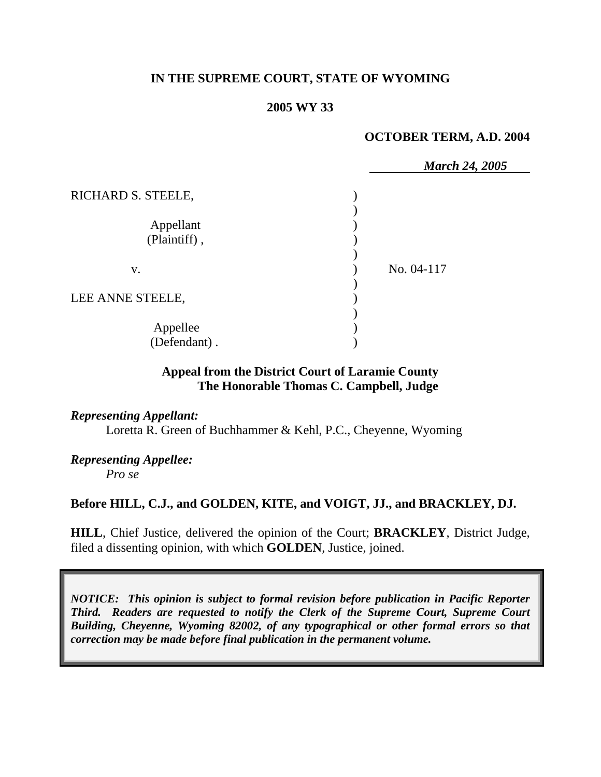## **IN THE SUPREME COURT, STATE OF WYOMING**

### **2005 WY 33**

#### **OCTOBER TERM, A.D. 2004**

|                    | <b>March 24, 2005</b> |
|--------------------|-----------------------|
| RICHARD S. STEELE, |                       |
|                    |                       |
| Appellant          |                       |
| (Plaintiff),       |                       |
|                    |                       |
| V.                 | No. 04-117            |
|                    |                       |
| LEE ANNE STEELE,   |                       |
|                    |                       |
| Appellee           |                       |
| (Defendant).       |                       |

## **Appeal from the District Court of Laramie County The Honorable Thomas C. Campbell, Judge**

#### *Representing Appellant:*

Loretta R. Green of Buchhammer & Kehl, P.C., Cheyenne, Wyoming

# *Representing Appellee:*

*Pro se* 

## **Before HILL, C.J., and GOLDEN, KITE, and VOIGT, JJ., and BRACKLEY, DJ.**

**HILL**, Chief Justice, delivered the opinion of the Court; **BRACKLEY**, District Judge, filed a dissenting opinion, with which **GOLDEN**, Justice, joined.

*NOTICE: This opinion is subject to formal revision before publication in Pacific Reporter Third. Readers are requested to notify the Clerk of the Supreme Court, Supreme Court Building, Cheyenne, Wyoming 82002, of any typographical or other formal errors so that correction may be made before final publication in the permanent volume.*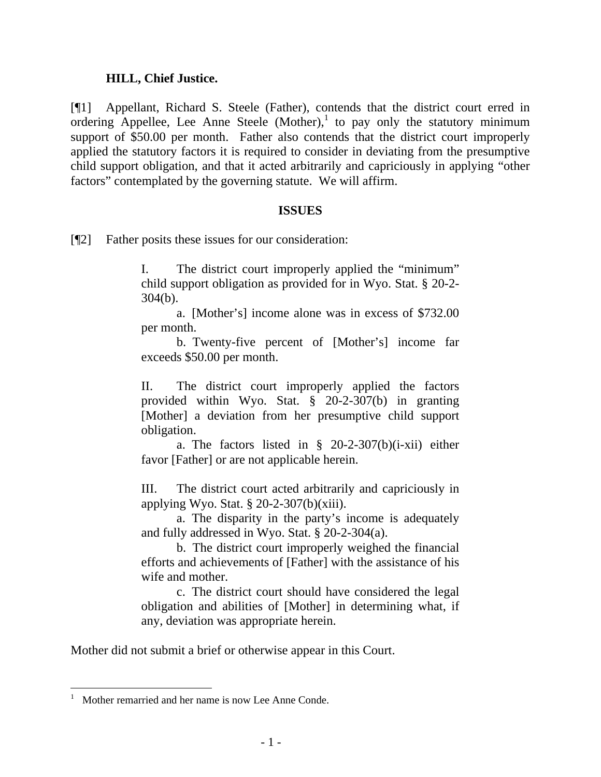## **HILL, Chief Justice.**

[¶1] Appellant, Richard S. Steele (Father), contends that the district court erred in ordering Appellee, Lee Anne Steele  $(Mother)^1$  to pay only the statutory minimum support of \$50.00 per month. Father also contends that the district court improperly applied the statutory factors it is required to consider in deviating from the presumptive child support obligation, and that it acted arbitrarily and capriciously in applying "other factors" contemplated by the governing statute. We will affirm.

#### **ISSUES**

[¶2] Father posits these issues for our consideration:

I. The district court improperly applied the "minimum" child support obligation as provided for in Wyo. Stat. § 20-2- 304(b).

a. [Mother's] income alone was in excess of \$732.00 per month.

b. Twenty-five percent of [Mother's] income far exceeds \$50.00 per month.

II. The district court improperly applied the factors provided within Wyo. Stat. § 20-2-307(b) in granting [Mother] a deviation from her presumptive child support obligation.

a. The factors listed in  $\S$  20-2-307(b)(i-xii) either favor [Father] or are not applicable herein.

III. The district court acted arbitrarily and capriciously in applying Wyo. Stat.  $\S 20-2-307(b)(xiii)$ .

a. The disparity in the party's income is adequately and fully addressed in Wyo. Stat. § 20-2-304(a).

b. The district court improperly weighed the financial efforts and achievements of [Father] with the assistance of his wife and mother.

c. The district court should have considered the legal obligation and abilities of [Mother] in determining what, if any, deviation was appropriate herein.

Mother did not submit a brief or otherwise appear in this Court.

 $\overline{a}$ 

<sup>1</sup> Mother remarried and her name is now Lee Anne Conde.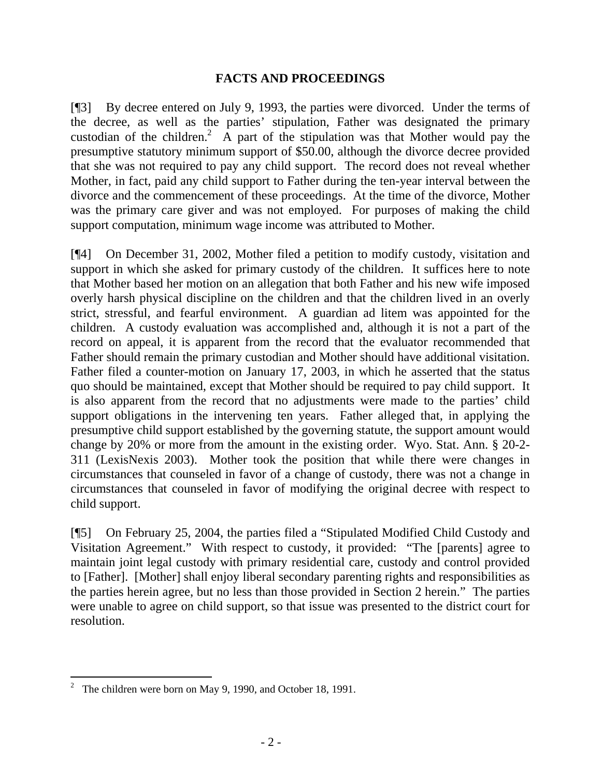## **FACTS AND PROCEEDINGS**

[¶3] By decree entered on July 9, 1993, the parties were divorced. Under the terms of the decree, as well as the parties' stipulation, Father was designated the primary custodian of the children.<sup>2</sup> A part of the stipulation was that Mother would pay the presumptive statutory minimum support of \$50.00, although the divorce decree provided that she was not required to pay any child support. The record does not reveal whether Mother, in fact, paid any child support to Father during the ten-year interval between the divorce and the commencement of these proceedings. At the time of the divorce, Mother was the primary care giver and was not employed. For purposes of making the child support computation, minimum wage income was attributed to Mother.

[¶4] On December 31, 2002, Mother filed a petition to modify custody, visitation and support in which she asked for primary custody of the children. It suffices here to note that Mother based her motion on an allegation that both Father and his new wife imposed overly harsh physical discipline on the children and that the children lived in an overly strict, stressful, and fearful environment. A guardian ad litem was appointed for the children. A custody evaluation was accomplished and, although it is not a part of the record on appeal, it is apparent from the record that the evaluator recommended that Father should remain the primary custodian and Mother should have additional visitation. Father filed a counter-motion on January 17, 2003, in which he asserted that the status quo should be maintained, except that Mother should be required to pay child support. It is also apparent from the record that no adjustments were made to the parties' child support obligations in the intervening ten years. Father alleged that, in applying the presumptive child support established by the governing statute, the support amount would change by 20% or more from the amount in the existing order. Wyo. Stat. Ann. § 20-2- 311 (LexisNexis 2003). Mother took the position that while there were changes in circumstances that counseled in favor of a change of custody, there was not a change in circumstances that counseled in favor of modifying the original decree with respect to child support.

[¶5] On February 25, 2004, the parties filed a "Stipulated Modified Child Custody and Visitation Agreement." With respect to custody, it provided: "The [parents] agree to maintain joint legal custody with primary residential care, custody and control provided to [Father]. [Mother] shall enjoy liberal secondary parenting rights and responsibilities as the parties herein agree, but no less than those provided in Section 2 herein." The parties were unable to agree on child support, so that issue was presented to the district court for resolution.

 <sup>2</sup> The children were born on May 9, 1990, and October 18, 1991.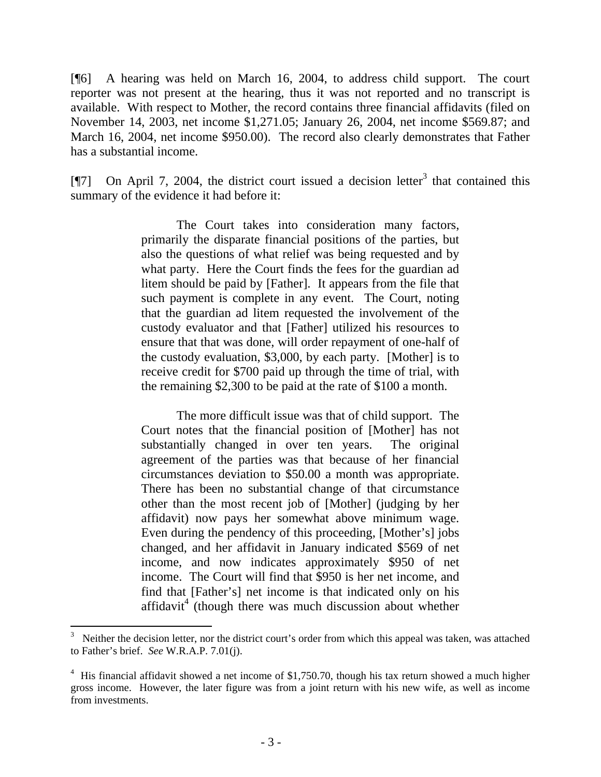[¶6] A hearing was held on March 16, 2004, to address child support. The court reporter was not present at the hearing, thus it was not reported and no transcript is available. With respect to Mother, the record contains three financial affidavits (filed on November 14, 2003, net income \$1,271.05; January 26, 2004, net income \$569.87; and March 16, 2004, net income \$950.00). The record also clearly demonstrates that Father has a substantial income.

[ $[$ ] On April 7, 2004, the district court issued a decision letter<sup>3</sup> that contained this summary of the evidence it had before it:

> The Court takes into consideration many factors, primarily the disparate financial positions of the parties, but also the questions of what relief was being requested and by what party. Here the Court finds the fees for the guardian ad litem should be paid by [Father]. It appears from the file that such payment is complete in any event. The Court, noting that the guardian ad litem requested the involvement of the custody evaluator and that [Father] utilized his resources to ensure that that was done, will order repayment of one-half of the custody evaluation, \$3,000, by each party. [Mother] is to receive credit for \$700 paid up through the time of trial, with the remaining \$2,300 to be paid at the rate of \$100 a month.

> The more difficult issue was that of child support. The Court notes that the financial position of [Mother] has not substantially changed in over ten years. The original agreement of the parties was that because of her financial circumstances deviation to \$50.00 a month was appropriate. There has been no substantial change of that circumstance other than the most recent job of [Mother] (judging by her affidavit) now pays her somewhat above minimum wage. Even during the pendency of this proceeding, [Mother's] jobs changed, and her affidavit in January indicated \$569 of net income, and now indicates approximately \$950 of net income. The Court will find that \$950 is her net income, and find that [Father's] net income is that indicated only on his  $affidavit<sup>4</sup>$  (though there was much discussion about whether

<sup>3</sup> Neither the decision letter, nor the district court's order from which this appeal was taken, was attached to Father's brief. *See* W.R.A.P. 7.01(j).

<sup>&</sup>lt;sup>4</sup> His financial affidavit showed a net income of \$1,750.70, though his tax return showed a much higher gross income. However, the later figure was from a joint return with his new wife, as well as income from investments.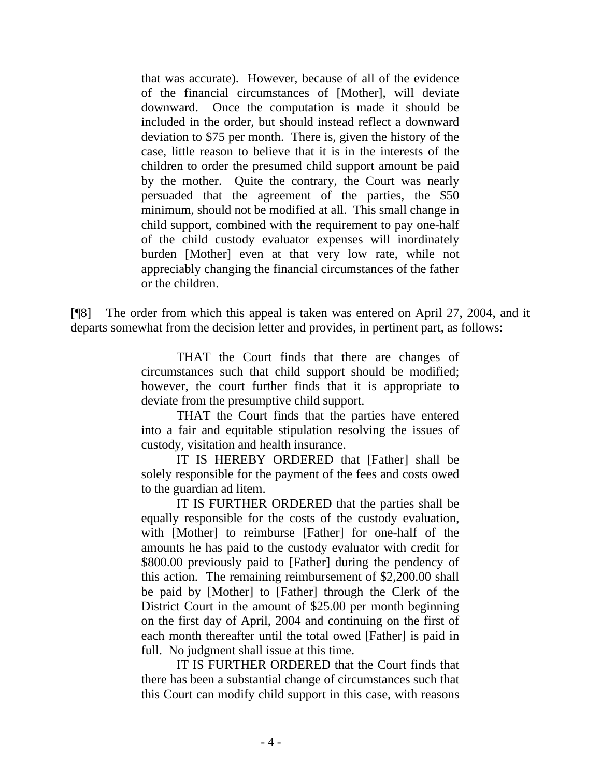that was accurate). However, because of all of the evidence of the financial circumstances of [Mother], will deviate downward. Once the computation is made it should be included in the order, but should instead reflect a downward deviation to \$75 per month. There is, given the history of the case, little reason to believe that it is in the interests of the children to order the presumed child support amount be paid by the mother. Quite the contrary, the Court was nearly persuaded that the agreement of the parties, the \$50 minimum, should not be modified at all. This small change in child support, combined with the requirement to pay one-half of the child custody evaluator expenses will inordinately burden [Mother] even at that very low rate, while not appreciably changing the financial circumstances of the father or the children.

[¶8] The order from which this appeal is taken was entered on April 27, 2004, and it departs somewhat from the decision letter and provides, in pertinent part, as follows:

> THAT the Court finds that there are changes of circumstances such that child support should be modified; however, the court further finds that it is appropriate to deviate from the presumptive child support.

> THAT the Court finds that the parties have entered into a fair and equitable stipulation resolving the issues of custody, visitation and health insurance.

> IT IS HEREBY ORDERED that [Father] shall be solely responsible for the payment of the fees and costs owed to the guardian ad litem.

> IT IS FURTHER ORDERED that the parties shall be equally responsible for the costs of the custody evaluation, with [Mother] to reimburse [Father] for one-half of the amounts he has paid to the custody evaluator with credit for \$800.00 previously paid to [Father] during the pendency of this action. The remaining reimbursement of \$2,200.00 shall be paid by [Mother] to [Father] through the Clerk of the District Court in the amount of \$25.00 per month beginning on the first day of April, 2004 and continuing on the first of each month thereafter until the total owed [Father] is paid in full. No judgment shall issue at this time.

> IT IS FURTHER ORDERED that the Court finds that there has been a substantial change of circumstances such that this Court can modify child support in this case, with reasons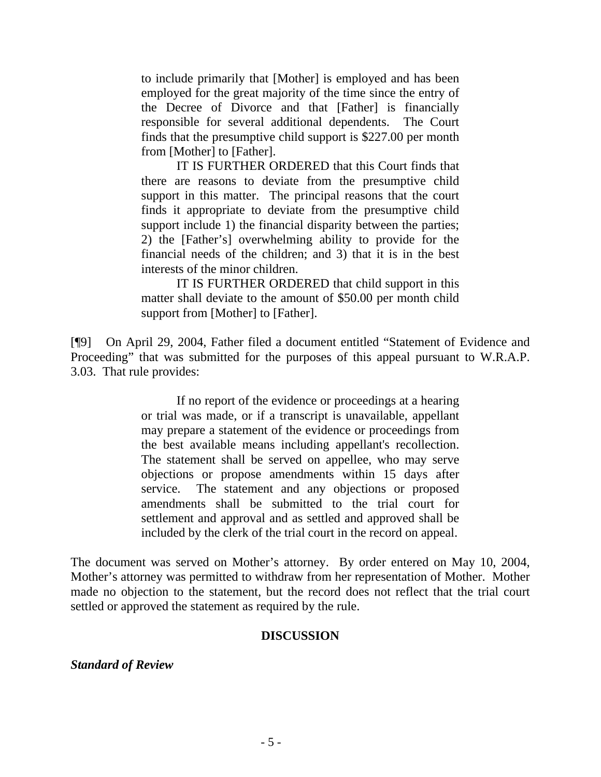to include primarily that [Mother] is employed and has been employed for the great majority of the time since the entry of the Decree of Divorce and that [Father] is financially responsible for several additional dependents. The Court finds that the presumptive child support is \$227.00 per month from [Mother] to [Father].

IT IS FURTHER ORDERED that this Court finds that there are reasons to deviate from the presumptive child support in this matter. The principal reasons that the court finds it appropriate to deviate from the presumptive child support include 1) the financial disparity between the parties; 2) the [Father's] overwhelming ability to provide for the financial needs of the children; and 3) that it is in the best interests of the minor children.

IT IS FURTHER ORDERED that child support in this matter shall deviate to the amount of \$50.00 per month child support from [Mother] to [Father].

[¶9] On April 29, 2004, Father filed a document entitled "Statement of Evidence and Proceeding" that was submitted for the purposes of this appeal pursuant to W.R.A.P. 3.03. That rule provides:

> If no report of the evidence or proceedings at a hearing or trial was made, or if a transcript is unavailable, appellant may prepare a statement of the evidence or proceedings from the best available means including appellant's recollection. The statement shall be served on appellee, who may serve objections or propose amendments within 15 days after service. The statement and any objections or proposed amendments shall be submitted to the trial court for settlement and approval and as settled and approved shall be included by the clerk of the trial court in the record on appeal.

The document was served on Mother's attorney. By order entered on May 10, 2004, Mother's attorney was permitted to withdraw from her representation of Mother. Mother made no objection to the statement, but the record does not reflect that the trial court settled or approved the statement as required by the rule.

# **DISCUSSION**

*Standard of Review*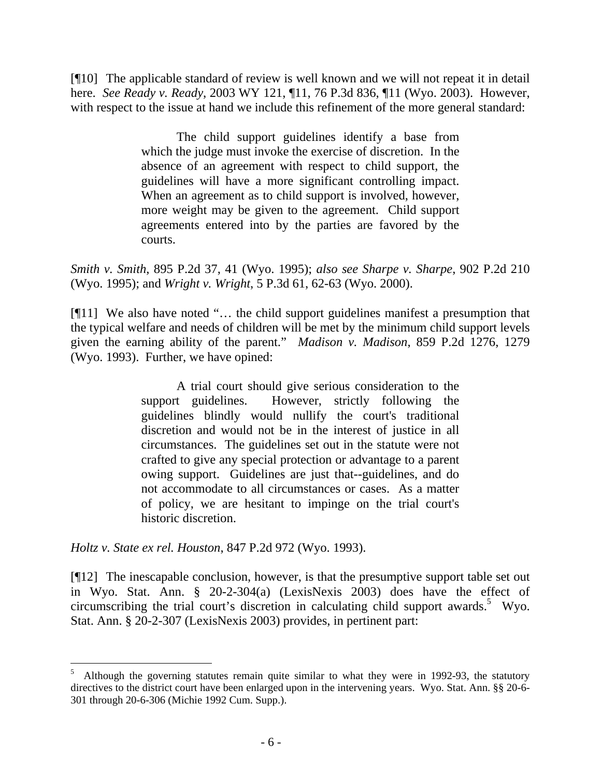[¶10] The applicable standard of review is well known and we will not repeat it in detail here. *See Ready v. Ready*, 2003 WY 121, ¶11, 76 P.3d 836, ¶11 (Wyo. 2003). However, with respect to the issue at hand we include this refinement of the more general standard:

> The child support guidelines identify a base from which the judge must invoke the exercise of discretion. In the absence of an agreement with respect to child support, the guidelines will have a more significant controlling impact. When an agreement as to child support is involved, however, more weight may be given to the agreement. Child support agreements entered into by the parties are favored by the courts.

*Smith v. Smith*, 895 P.2d 37, 41 (Wyo. 1995); *also see Sharpe v. Sharpe*, 902 P.2d 210 (Wyo. 1995); and *Wright v. Wright*, 5 P.3d 61, 62-63 (Wyo. 2000).

[¶11] We also have noted "… the child support guidelines manifest a presumption that the typical welfare and needs of children will be met by the minimum child support levels given the earning ability of the parent." *Madison v. Madison*, 859 P.2d 1276, 1279 (Wyo. 1993). Further, we have opined:

> A trial court should give serious consideration to the support guidelines. However, strictly following the guidelines blindly would nullify the court's traditional discretion and would not be in the interest of justice in all circumstances. The guidelines set out in the statute were not crafted to give any special protection or advantage to a parent owing support. Guidelines are just that--guidelines, and do not accommodate to all circumstances or cases. As a matter of policy, we are hesitant to impinge on the trial court's historic discretion.

*Holtz v. State ex rel. Houston*, 847 P.2d 972 (Wyo. 1993).

[¶12] The inescapable conclusion, however, is that the presumptive support table set out in Wyo. Stat. Ann. § 20-2-304(a) (LexisNexis 2003) does have the effect of circumscribing the trial court's discretion in calculating child support awards.<sup>5</sup> Wyo. Stat. Ann. § 20-2-307 (LexisNexis 2003) provides, in pertinent part:

<sup>5</sup> Although the governing statutes remain quite similar to what they were in 1992-93, the statutory directives to the district court have been enlarged upon in the intervening years. Wyo. Stat. Ann. §§ 20-6- 301 through 20-6-306 (Michie 1992 Cum. Supp.).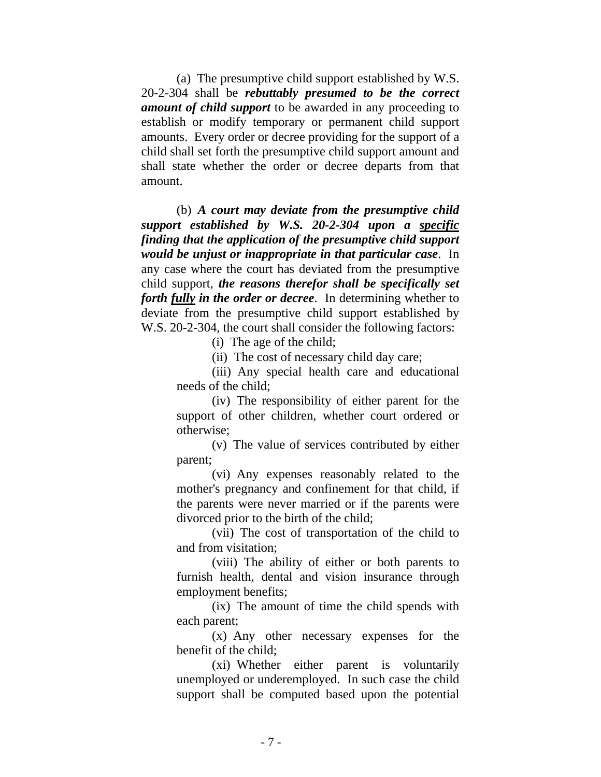(a) The presumptive child support established by W.S. 20-2-304 shall be *rebuttably presumed to be the correct amount of child support* to be awarded in any proceeding to establish or modify temporary or permanent child support amounts. Every order or decree providing for the support of a child shall set forth the presumptive child support amount and shall state whether the order or decree departs from that amount.

 (b) *A court may deviate from the presumptive child support established by W.S. 20-2-304 upon a specific finding that the application of the presumptive child support would be unjust or inappropriate in that particular case*. In any case where the court has deviated from the presumptive child support, *the reasons therefor shall be specifically set forth fully in the order or decree*. In determining whether to deviate from the presumptive child support established by W.S. 20-2-304, the court shall consider the following factors:

(i) The age of the child;

(ii) The cost of necessary child day care;

(iii) Any special health care and educational needs of the child;

(iv) The responsibility of either parent for the support of other children, whether court ordered or otherwise;

(v) The value of services contributed by either parent;

(vi) Any expenses reasonably related to the mother's pregnancy and confinement for that child, if the parents were never married or if the parents were divorced prior to the birth of the child;

(vii) The cost of transportation of the child to and from visitation;

(viii) The ability of either or both parents to furnish health, dental and vision insurance through employment benefits;

(ix) The amount of time the child spends with each parent;

(x) Any other necessary expenses for the benefit of the child;

(xi) Whether either parent is voluntarily unemployed or underemployed. In such case the child support shall be computed based upon the potential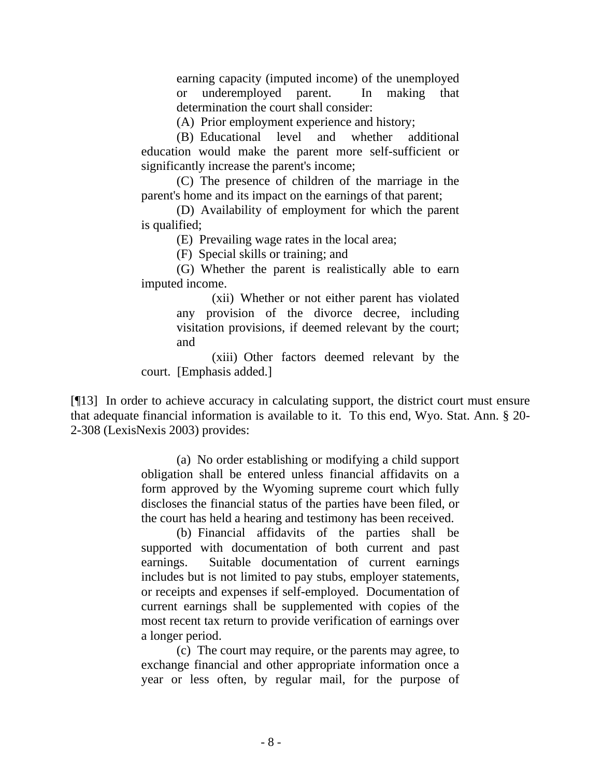earning capacity (imputed income) of the unemployed or underemployed parent. In making that determination the court shall consider:

(A) Prior employment experience and history;

(B) Educational level and whether additional education would make the parent more self-sufficient or significantly increase the parent's income;

(C) The presence of children of the marriage in the parent's home and its impact on the earnings of that parent;

(D) Availability of employment for which the parent is qualified;

(E) Prevailing wage rates in the local area;

(F) Special skills or training; and

(G) Whether the parent is realistically able to earn imputed income.

> (xii) Whether or not either parent has violated any provision of the divorce decree, including visitation provisions, if deemed relevant by the court; and

(xiii) Other factors deemed relevant by the court. [Emphasis added.]

[¶13] In order to achieve accuracy in calculating support, the district court must ensure that adequate financial information is available to it. To this end, Wyo. Stat. Ann. § 20- 2-308 (LexisNexis 2003) provides:

> (a) No order establishing or modifying a child support obligation shall be entered unless financial affidavits on a form approved by the Wyoming supreme court which fully discloses the financial status of the parties have been filed, or the court has held a hearing and testimony has been received.

> (b) Financial affidavits of the parties shall be supported with documentation of both current and past earnings. Suitable documentation of current earnings includes but is not limited to pay stubs, employer statements, or receipts and expenses if self-employed. Documentation of current earnings shall be supplemented with copies of the most recent tax return to provide verification of earnings over a longer period.

> (c) The court may require, or the parents may agree, to exchange financial and other appropriate information once a year or less often, by regular mail, for the purpose of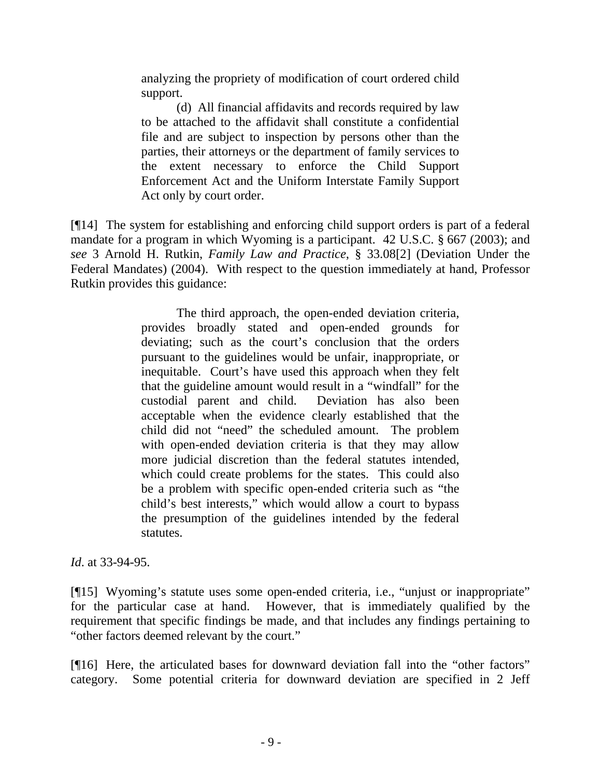analyzing the propriety of modification of court ordered child support.

(d) All financial affidavits and records required by law to be attached to the affidavit shall constitute a confidential file and are subject to inspection by persons other than the parties, their attorneys or the department of family services to the extent necessary to enforce the Child Support Enforcement Act and the Uniform Interstate Family Support Act only by court order.

[¶14] The system for establishing and enforcing child support orders is part of a federal mandate for a program in which Wyoming is a participant. 42 U.S.C. § 667 (2003); and *see* 3 Arnold H. Rutkin, *Family Law and Practice*, § 33.08[2] (Deviation Under the Federal Mandates) (2004). With respect to the question immediately at hand, Professor Rutkin provides this guidance:

> The third approach, the open-ended deviation criteria, provides broadly stated and open-ended grounds for deviating; such as the court's conclusion that the orders pursuant to the guidelines would be unfair, inappropriate, or inequitable. Court's have used this approach when they felt that the guideline amount would result in a "windfall" for the custodial parent and child. Deviation has also been acceptable when the evidence clearly established that the child did not "need" the scheduled amount. The problem with open-ended deviation criteria is that they may allow more judicial discretion than the federal statutes intended, which could create problems for the states. This could also be a problem with specific open-ended criteria such as "the child's best interests," which would allow a court to bypass the presumption of the guidelines intended by the federal statutes.

*Id*. at 33-94-95.

[¶15] Wyoming's statute uses some open-ended criteria, i.e., "unjust or inappropriate" for the particular case at hand. However, that is immediately qualified by the requirement that specific findings be made, and that includes any findings pertaining to "other factors deemed relevant by the court."

[¶16] Here, the articulated bases for downward deviation fall into the "other factors" category. Some potential criteria for downward deviation are specified in 2 Jeff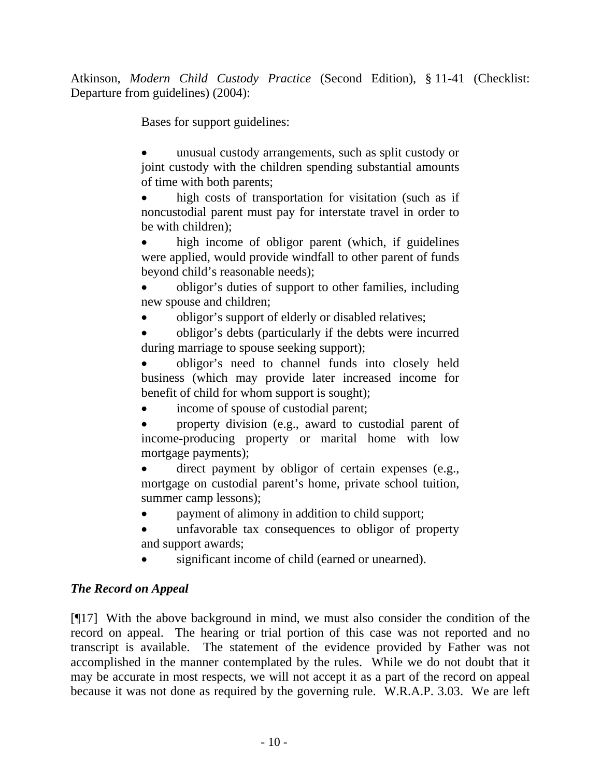Atkinson, *Modern Child Custody Practice* (Second Edition), § 11-41 (Checklist: Departure from guidelines) (2004):

Bases for support guidelines:

• unusual custody arrangements, such as split custody or joint custody with the children spending substantial amounts of time with both parents;

high costs of transportation for visitation (such as if noncustodial parent must pay for interstate travel in order to be with children);

high income of obligor parent (which, if guidelines were applied, would provide windfall to other parent of funds beyond child's reasonable needs);

• obligor's duties of support to other families, including new spouse and children;

• obligor's support of elderly or disabled relatives;

• obligor's debts (particularly if the debts were incurred during marriage to spouse seeking support);

• obligor's need to channel funds into closely held business (which may provide later increased income for benefit of child for whom support is sought);

income of spouse of custodial parent;

• property division (e.g., award to custodial parent of income-producing property or marital home with low mortgage payments);

direct payment by obligor of certain expenses (e.g., mortgage on custodial parent's home, private school tuition, summer camp lessons);

- payment of alimony in addition to child support;
- unfavorable tax consequences to obligor of property and support awards;
- significant income of child (earned or unearned).

# *The Record on Appeal*

[¶17] With the above background in mind, we must also consider the condition of the record on appeal. The hearing or trial portion of this case was not reported and no transcript is available. The statement of the evidence provided by Father was not accomplished in the manner contemplated by the rules. While we do not doubt that it may be accurate in most respects, we will not accept it as a part of the record on appeal because it was not done as required by the governing rule. W.R.A.P. 3.03. We are left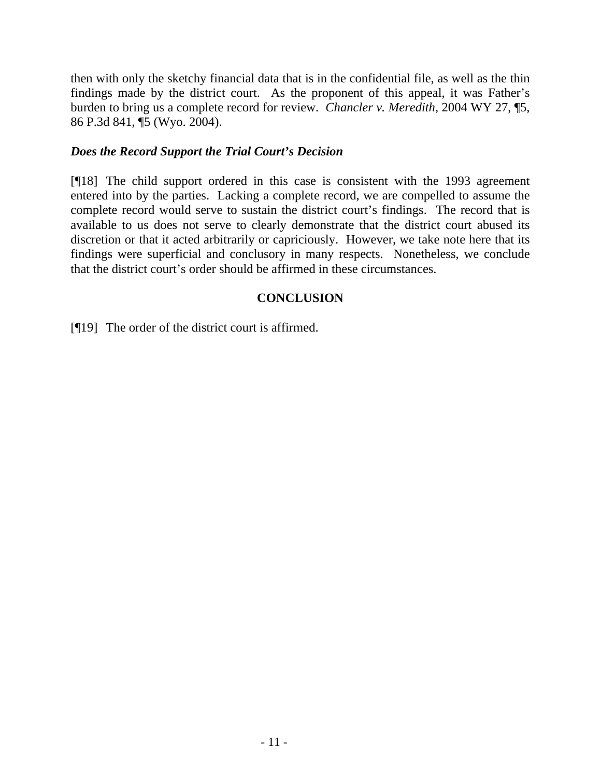then with only the sketchy financial data that is in the confidential file, as well as the thin findings made by the district court. As the proponent of this appeal, it was Father's burden to bring us a complete record for review. *Chancler v. Meredith*, 2004 WY 27, ¶5, 86 P.3d 841, ¶5 (Wyo. 2004).

## *Does the Record Support the Trial Court's Decision*

[¶18] The child support ordered in this case is consistent with the 1993 agreement entered into by the parties. Lacking a complete record, we are compelled to assume the complete record would serve to sustain the district court's findings. The record that is available to us does not serve to clearly demonstrate that the district court abused its discretion or that it acted arbitrarily or capriciously. However, we take note here that its findings were superficial and conclusory in many respects. Nonetheless, we conclude that the district court's order should be affirmed in these circumstances.

# **CONCLUSION**

[¶19] The order of the district court is affirmed.